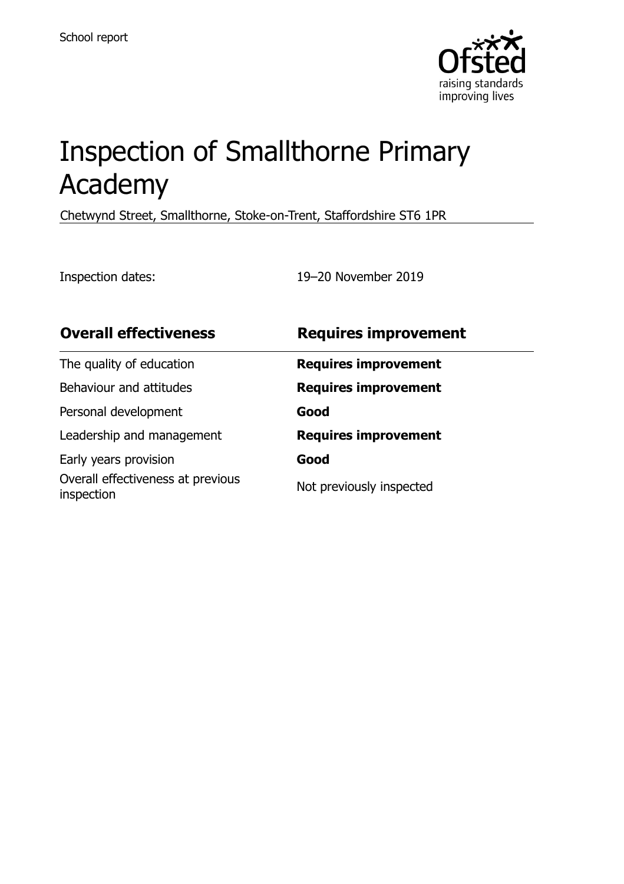

# Inspection of Smallthorne Primary Academy

Chetwynd Street, Smallthorne, Stoke-on-Trent, Staffordshire ST6 1PR

Inspection dates: 19–20 November 2019

| <b>Overall effectiveness</b>                    | <b>Requires improvement</b> |
|-------------------------------------------------|-----------------------------|
| The quality of education                        | <b>Requires improvement</b> |
| Behaviour and attitudes                         | <b>Requires improvement</b> |
| Personal development                            | Good                        |
| Leadership and management                       | <b>Requires improvement</b> |
| Early years provision                           | Good                        |
| Overall effectiveness at previous<br>inspection | Not previously inspected    |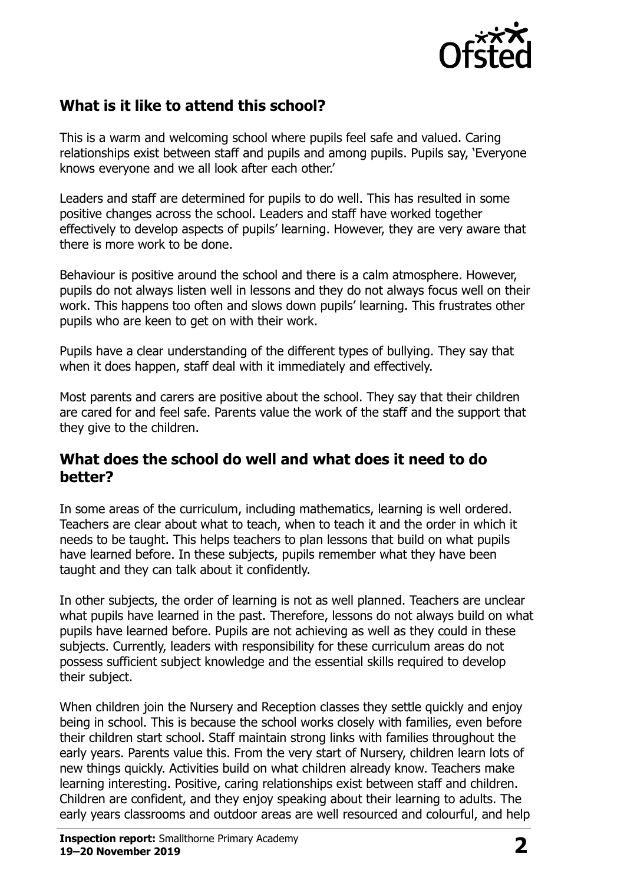

## **What is it like to attend this school?**

This is a warm and welcoming school where pupils feel safe and valued. Caring relationships exist between staff and pupils and among pupils. Pupils say, 'Everyone knows everyone and we all look after each other.'

Leaders and staff are determined for pupils to do well. This has resulted in some positive changes across the school. Leaders and staff have worked together effectively to develop aspects of pupils' learning. However, they are very aware that there is more work to be done.

Behaviour is positive around the school and there is a calm atmosphere. However, pupils do not always listen well in lessons and they do not always focus well on their work. This happens too often and slows down pupils' learning. This frustrates other pupils who are keen to get on with their work.

Pupils have a clear understanding of the different types of bullying. They say that when it does happen, staff deal with it immediately and effectively.

Most parents and carers are positive about the school. They say that their children are cared for and feel safe. Parents value the work of the staff and the support that they give to the children.

### **What does the school do well and what does it need to do better?**

In some areas of the curriculum, including mathematics, learning is well ordered. Teachers are clear about what to teach, when to teach it and the order in which it needs to be taught. This helps teachers to plan lessons that build on what pupils have learned before. In these subjects, pupils remember what they have been taught and they can talk about it confidently.

In other subjects, the order of learning is not as well planned. Teachers are unclear what pupils have learned in the past. Therefore, lessons do not always build on what pupils have learned before. Pupils are not achieving as well as they could in these subjects. Currently, leaders with responsibility for these curriculum areas do not possess sufficient subject knowledge and the essential skills required to develop their subject.

When children join the Nursery and Reception classes they settle quickly and enjoy being in school. This is because the school works closely with families, even before their children start school. Staff maintain strong links with families throughout the early years. Parents value this. From the very start of Nursery, children learn lots of new things quickly. Activities build on what children already know. Teachers make learning interesting. Positive, caring relationships exist between staff and children. Children are confident, and they enjoy speaking about their learning to adults. The early years classrooms and outdoor areas are well resourced and colourful, and help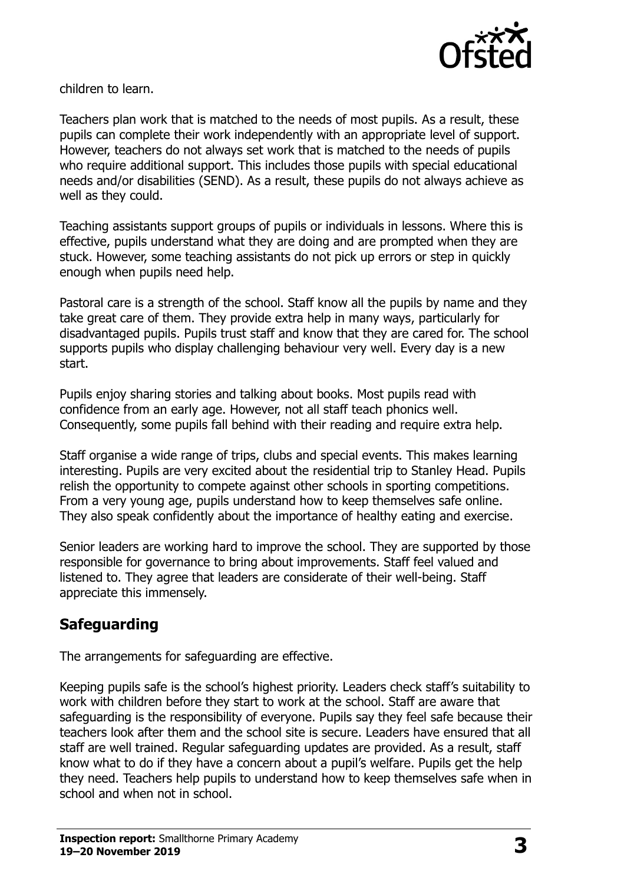

children to learn.

Teachers plan work that is matched to the needs of most pupils. As a result, these pupils can complete their work independently with an appropriate level of support. However, teachers do not always set work that is matched to the needs of pupils who require additional support. This includes those pupils with special educational needs and/or disabilities (SEND). As a result, these pupils do not always achieve as well as they could.

Teaching assistants support groups of pupils or individuals in lessons. Where this is effective, pupils understand what they are doing and are prompted when they are stuck. However, some teaching assistants do not pick up errors or step in quickly enough when pupils need help.

Pastoral care is a strength of the school. Staff know all the pupils by name and they take great care of them. They provide extra help in many ways, particularly for disadvantaged pupils. Pupils trust staff and know that they are cared for. The school supports pupils who display challenging behaviour very well. Every day is a new start.

Pupils enjoy sharing stories and talking about books. Most pupils read with confidence from an early age. However, not all staff teach phonics well. Consequently, some pupils fall behind with their reading and require extra help.

Staff organise a wide range of trips, clubs and special events. This makes learning interesting. Pupils are very excited about the residential trip to Stanley Head. Pupils relish the opportunity to compete against other schools in sporting competitions. From a very young age, pupils understand how to keep themselves safe online. They also speak confidently about the importance of healthy eating and exercise.

Senior leaders are working hard to improve the school. They are supported by those responsible for governance to bring about improvements. Staff feel valued and listened to. They agree that leaders are considerate of their well-being. Staff appreciate this immensely.

## **Safeguarding**

The arrangements for safeguarding are effective.

Keeping pupils safe is the school's highest priority. Leaders check staff's suitability to work with children before they start to work at the school. Staff are aware that safeguarding is the responsibility of everyone. Pupils say they feel safe because their teachers look after them and the school site is secure. Leaders have ensured that all staff are well trained. Regular safeguarding updates are provided. As a result, staff know what to do if they have a concern about a pupil's welfare. Pupils get the help they need. Teachers help pupils to understand how to keep themselves safe when in school and when not in school.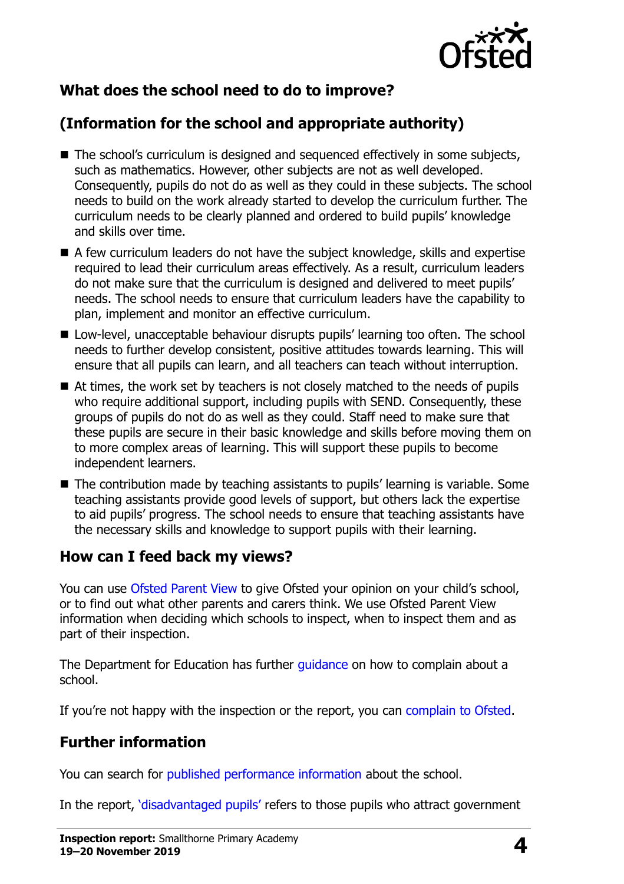

## **What does the school need to do to improve?**

## **(Information for the school and appropriate authority)**

- The school's curriculum is designed and sequenced effectively in some subjects, such as mathematics. However, other subjects are not as well developed. Consequently, pupils do not do as well as they could in these subjects. The school needs to build on the work already started to develop the curriculum further. The curriculum needs to be clearly planned and ordered to build pupils' knowledge and skills over time.
- A few curriculum leaders do not have the subject knowledge, skills and expertise required to lead their curriculum areas effectively. As a result, curriculum leaders do not make sure that the curriculum is designed and delivered to meet pupils' needs. The school needs to ensure that curriculum leaders have the capability to plan, implement and monitor an effective curriculum.
- Low-level, unacceptable behaviour disrupts pupils' learning too often. The school needs to further develop consistent, positive attitudes towards learning. This will ensure that all pupils can learn, and all teachers can teach without interruption.
- At times, the work set by teachers is not closely matched to the needs of pupils who require additional support, including pupils with SEND. Consequently, these groups of pupils do not do as well as they could. Staff need to make sure that these pupils are secure in their basic knowledge and skills before moving them on to more complex areas of learning. This will support these pupils to become independent learners.
- The contribution made by teaching assistants to pupils' learning is variable. Some teaching assistants provide good levels of support, but others lack the expertise to aid pupils' progress. The school needs to ensure that teaching assistants have the necessary skills and knowledge to support pupils with their learning.

### **How can I feed back my views?**

You can use [Ofsted Parent View](http://parentview.ofsted.gov.uk/) to give Ofsted your opinion on your child's school, or to find out what other parents and carers think. We use Ofsted Parent View information when deciding which schools to inspect, when to inspect them and as part of their inspection.

The Department for Education has further quidance on how to complain about a school.

If you're not happy with the inspection or the report, you can [complain to Ofsted.](http://www.gov.uk/complain-ofsted-report)

## **Further information**

You can search for [published performance information](http://www.compare-school-performance.service.gov.uk/) about the school.

In the report, '[disadvantaged pupils](http://www.gov.uk/guidance/pupil-premium-information-for-schools-and-alternative-provision-settings)' refers to those pupils who attract government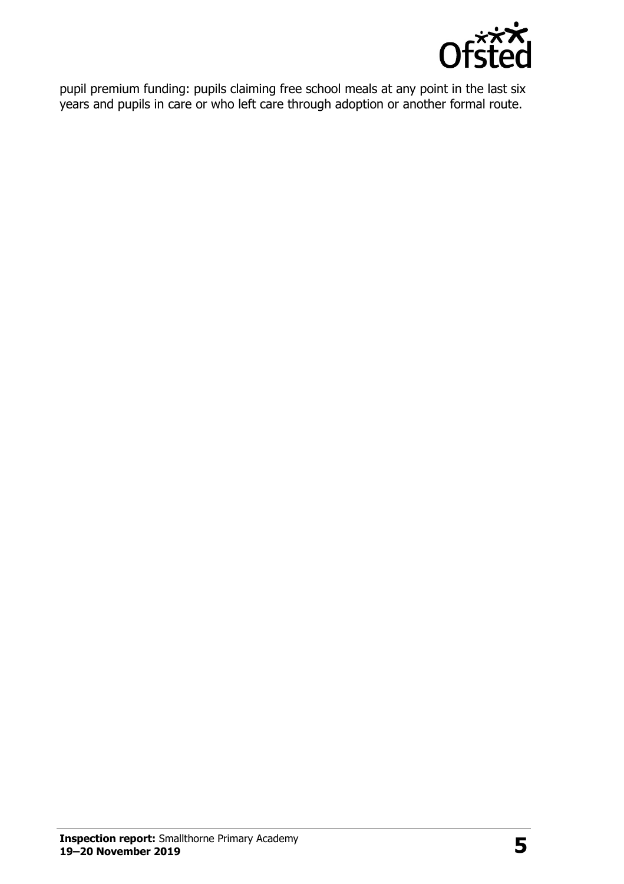

pupil premium funding: pupils claiming free school meals at any point in the last six years and pupils in care or who left care through adoption or another formal route.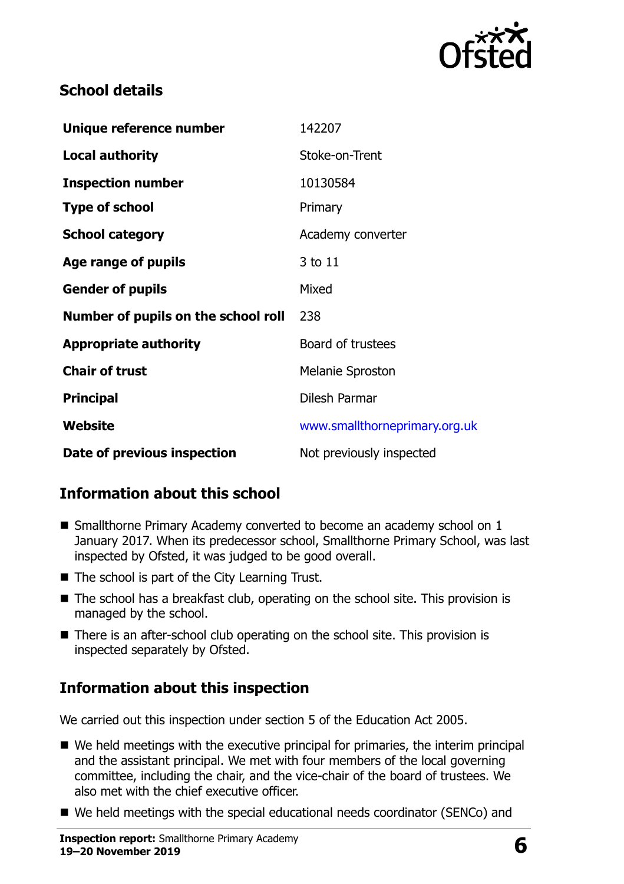

## **School details**

| Unique reference number             | 142207                        |
|-------------------------------------|-------------------------------|
| <b>Local authority</b>              | Stoke-on-Trent                |
| <b>Inspection number</b>            | 10130584                      |
| <b>Type of school</b>               | Primary                       |
| <b>School category</b>              | Academy converter             |
| Age range of pupils                 | 3 to 11                       |
| <b>Gender of pupils</b>             | Mixed                         |
| Number of pupils on the school roll | 238                           |
| <b>Appropriate authority</b>        | Board of trustees             |
| <b>Chair of trust</b>               | Melanie Sproston              |
| <b>Principal</b>                    | Dilesh Parmar                 |
| Website                             | www.smallthorneprimary.org.uk |
| Date of previous inspection         | Not previously inspected      |

## **Information about this school**

- Smallthorne Primary Academy converted to become an academy school on 1 January 2017. When its predecessor school, Smallthorne Primary School, was last inspected by Ofsted, it was judged to be good overall.
- The school is part of the City Learning Trust.
- The school has a breakfast club, operating on the school site. This provision is managed by the school.
- There is an after-school club operating on the school site. This provision is inspected separately by Ofsted.

## **Information about this inspection**

We carried out this inspection under section 5 of the Education Act 2005.

- We held meetings with the executive principal for primaries, the interim principal and the assistant principal. We met with four members of the local governing committee, including the chair, and the vice-chair of the board of trustees. We also met with the chief executive officer.
- We held meetings with the special educational needs coordinator (SENCo) and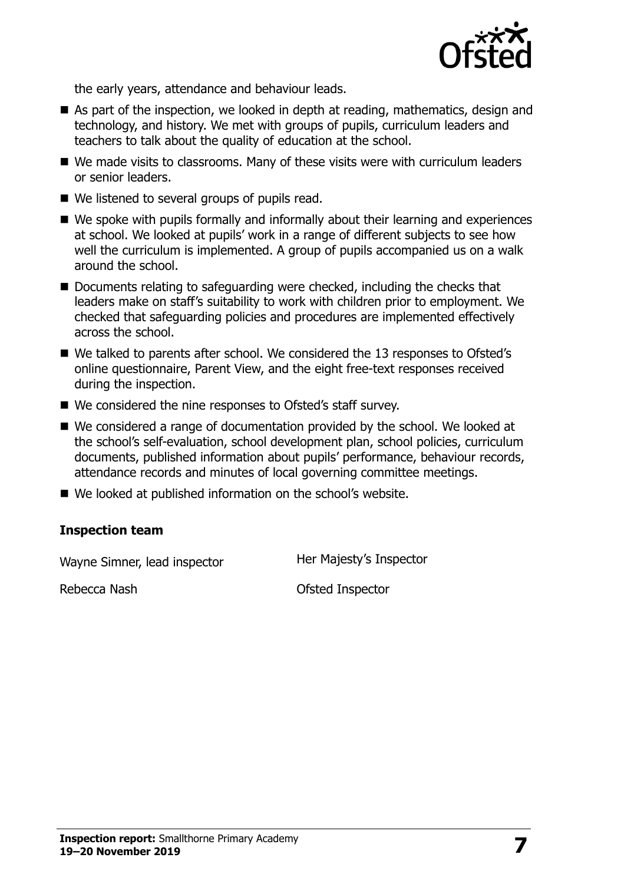

the early years, attendance and behaviour leads.

- As part of the inspection, we looked in depth at reading, mathematics, design and technology, and history. We met with groups of pupils, curriculum leaders and teachers to talk about the quality of education at the school.
- We made visits to classrooms. Many of these visits were with curriculum leaders or senior leaders.
- We listened to several groups of pupils read.
- We spoke with pupils formally and informally about their learning and experiences at school. We looked at pupils' work in a range of different subjects to see how well the curriculum is implemented. A group of pupils accompanied us on a walk around the school.
- Documents relating to safeguarding were checked, including the checks that leaders make on staff's suitability to work with children prior to employment. We checked that safeguarding policies and procedures are implemented effectively across the school.
- We talked to parents after school. We considered the 13 responses to Ofsted's online questionnaire, Parent View, and the eight free-text responses received during the inspection.
- We considered the nine responses to Ofsted's staff survey.
- We considered a range of documentation provided by the school. We looked at the school's self-evaluation, school development plan, school policies, curriculum documents, published information about pupils' performance, behaviour records, attendance records and minutes of local governing committee meetings.
- We looked at published information on the school's website.

#### **Inspection team**

Wayne Simner, lead inspector **Her Majesty's Inspector** 

Rebecca Nash **Contact Contact Contact Contact Contact Contact Contact Contact Contact Contact Contact Contact Contact Contact Contact Contact Contact Contact Contact Contact Contact Contact Contact Contact Contact Contact**